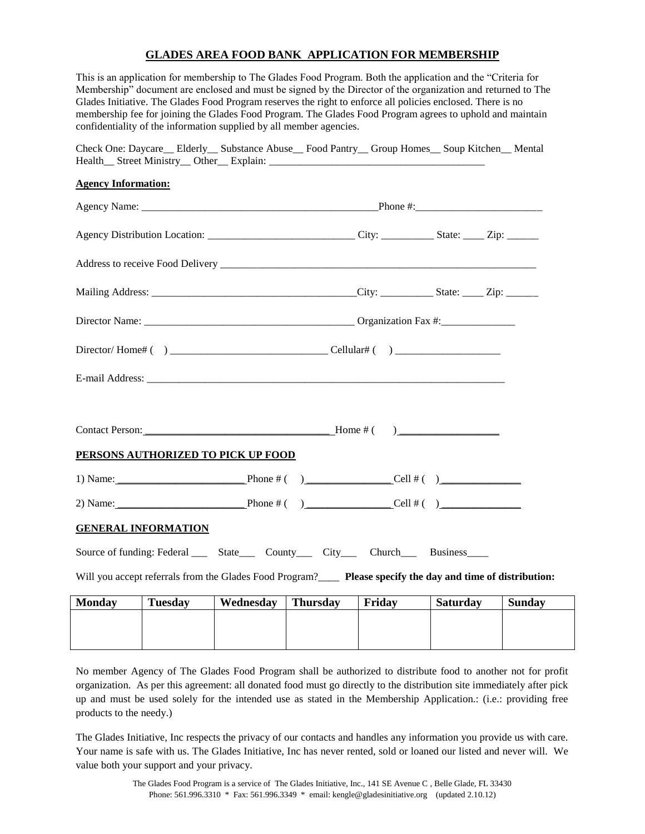## **GLADES AREA FOOD BANK APPLICATION FOR MEMBERSHIP**

This is an application for membership to The Glades Food Program. Both the application and the "Criteria for Membership" document are enclosed and must be signed by the Director of the organization and returned to The Glades Initiative. The Glades Food Program reserves the right to enforce all policies enclosed. There is no membership fee for joining the Glades Food Program. The Glades Food Program agrees to uphold and maintain confidentiality of the information supplied by all member agencies.

| Check One: Daycare__ Elderly__ Substance Abuse__ Food Pantry__ Group Homes__ Soup Kitchen__ Mental           |  |  |
|--------------------------------------------------------------------------------------------------------------|--|--|
| <b>Agency Information:</b>                                                                                   |  |  |
|                                                                                                              |  |  |
| Agency Distribution Location: _________________________________City: ____________State: _____Zip: ________   |  |  |
|                                                                                                              |  |  |
|                                                                                                              |  |  |
|                                                                                                              |  |  |
|                                                                                                              |  |  |
|                                                                                                              |  |  |
|                                                                                                              |  |  |
| PERSONS AUTHORIZED TO PICK UP FOOD                                                                           |  |  |
| 1) Name: Phone # ( ) Cell # ( )                                                                              |  |  |
|                                                                                                              |  |  |
| <b>GENERAL INFORMATION</b>                                                                                   |  |  |
| Source of funding: Federal ______ State_______ County_______ City_______ Church_______ Business_____         |  |  |
| Will you accept referrals from the Glades Food Program?____ Please specify the day and time of distribution: |  |  |
| Mondoy Tuesday Wednesday Thursday Friday Saturday Sunday                                                     |  |  |

| <b>Monday</b> | <b>Tuesday</b> | Wednesday | <b>Thursday</b> | Friday | <b>Saturday</b> | <b>Sunday</b> |
|---------------|----------------|-----------|-----------------|--------|-----------------|---------------|
|               |                |           |                 |        |                 |               |
|               |                |           |                 |        |                 |               |
|               |                |           |                 |        |                 |               |
|               |                |           |                 |        |                 |               |

No member Agency of The Glades Food Program shall be authorized to distribute food to another not for profit organization. As per this agreement: all donated food must go directly to the distribution site immediately after pick up and must be used solely for the intended use as stated in the Membership Application.: (i.e.: providing free products to the needy.)

The Glades Initiative, Inc respects the privacy of our contacts and handles any information you provide us with care. Your name is safe with us. The Glades Initiative, Inc has never rented, sold or loaned our listed and never will. We value both your support and your privacy.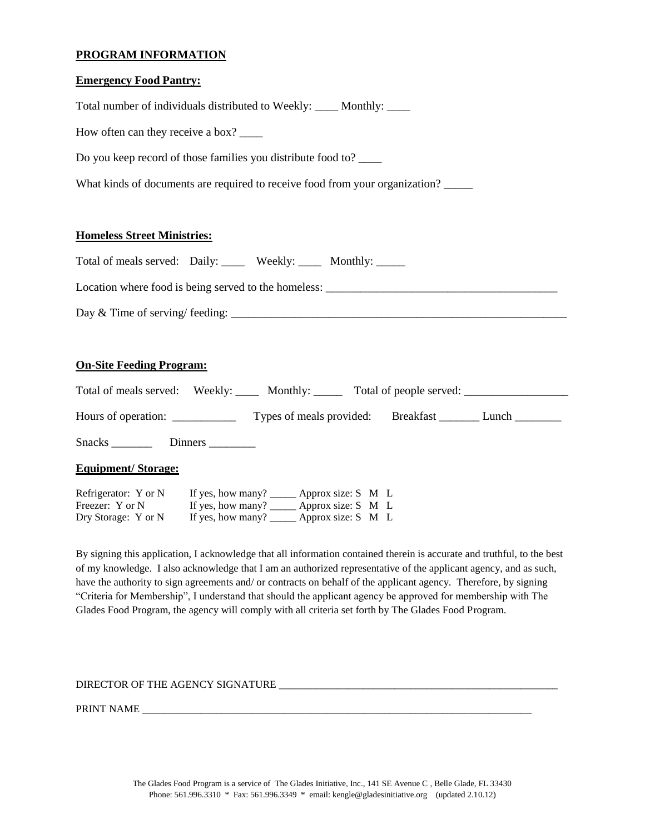## **PROGRAM INFORMATION**

#### **Emergency Food Pantry:**

| Total number of individuals distributed to Weekly: _____ Monthly: _____                                                                                                                                                                                                                |
|----------------------------------------------------------------------------------------------------------------------------------------------------------------------------------------------------------------------------------------------------------------------------------------|
| How often can they receive a box?                                                                                                                                                                                                                                                      |
| Do you keep record of those families you distribute food to?                                                                                                                                                                                                                           |
| What kinds of documents are required to receive food from your organization?                                                                                                                                                                                                           |
|                                                                                                                                                                                                                                                                                        |
| <b>Homeless Street Ministries:</b>                                                                                                                                                                                                                                                     |
| Total of meals served: Daily: ______ Weekly: ______ Monthly: _____                                                                                                                                                                                                                     |
|                                                                                                                                                                                                                                                                                        |
| Day & Time of serving/ feeding: $\frac{1}{2}$ and $\frac{1}{2}$ and $\frac{1}{2}$ and $\frac{1}{2}$ and $\frac{1}{2}$ and $\frac{1}{2}$ and $\frac{1}{2}$ and $\frac{1}{2}$ and $\frac{1}{2}$ and $\frac{1}{2}$ and $\frac{1}{2}$ and $\frac{1}{2}$ and $\frac{1}{2}$ and $\frac{1}{2$ |
|                                                                                                                                                                                                                                                                                        |
| <b>On-Site Feeding Program:</b>                                                                                                                                                                                                                                                        |
| Total of meals served: Weekly: _____ Monthly: ______ Total of people served: __________                                                                                                                                                                                                |

Hours of operation: \_\_\_\_\_\_\_\_\_\_\_\_\_\_ Types of meals provided: Breakfast \_\_\_\_\_\_\_\_ Lunch \_\_\_\_\_\_\_\_

If yes, how many?  $\overline{\qquad}$  Approx size: S M L

By signing this application, I acknowledge that all information contained therein is accurate and truthful, to the best of my knowledge. I also acknowledge that I am an authorized representative of the applicant agency, and as such, have the authority to sign agreements and/ or contracts on behalf of the applicant agency. Therefore, by signing "Criteria for Membership", I understand that should the applicant agency be approved for membership with The Glades Food Program, the agency will comply with all criteria set forth by The Glades Food Program.

# DIRECTOR OF THE AGENCY SIGNATURE

Snacks \_\_\_\_\_\_\_\_\_\_\_ Dinners \_\_\_\_\_\_\_\_\_

Refrigerator: Y or N If yes, how many? \_\_\_\_\_\_ Approx size: S M L<br>Freezer: Y or N If yes, how many? Approx size: S M L

Dry Storage: Y or N If yes, how many? \_\_\_\_\_\_ Approx size: S M L

**Equipment/ Storage:** 

PRINT NAME \_\_\_\_\_\_\_\_\_\_\_\_\_\_\_\_\_\_\_\_\_\_\_\_\_\_\_\_\_\_\_\_\_\_\_\_\_\_\_\_\_\_\_\_\_\_\_\_\_\_\_\_\_\_\_\_\_\_\_\_\_\_\_\_\_\_\_\_\_\_\_\_\_\_